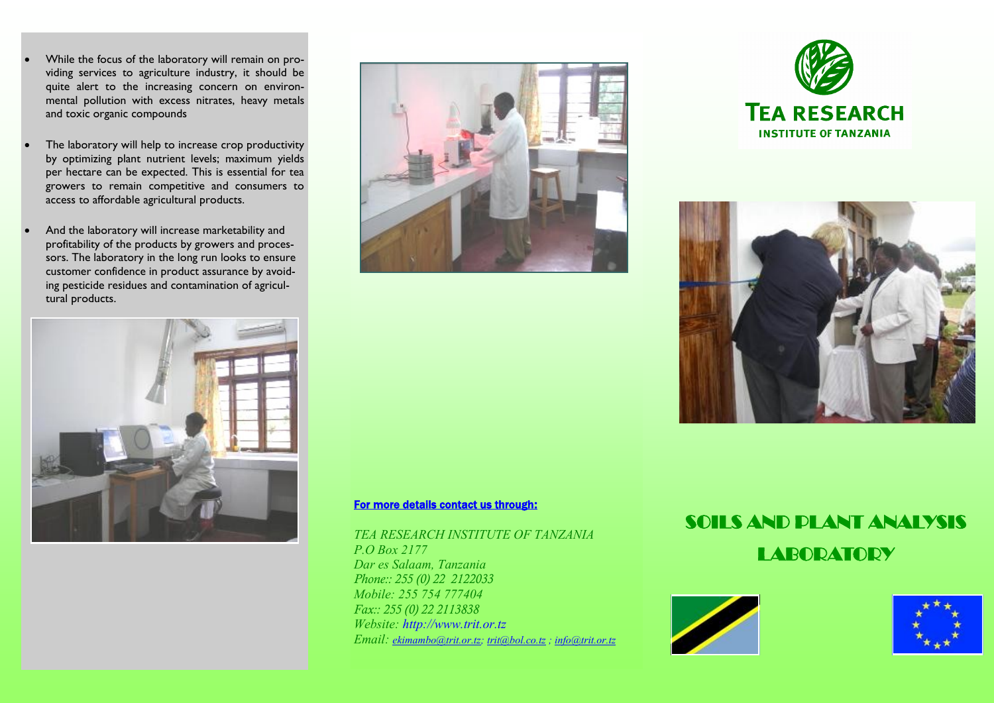- While the focus of the laboratory will remain on providing services to agriculture industry, it should be quite alert to the increasing concern on environmental pollution with excess nitrates, heavy metals and toxic organic compounds
- The laboratory will help to increase crop productivity by optimizing plant nutrient levels; maximum yields per hectare can be expected. This is essential for tea growers to remain competitive and consumers to access to affordable agricultural products.
- And the laboratory will increase marketability and profitability of the products by growers and processors. The laboratory in the long run looks to ensure customer confidence in product assurance by avoiding pesticide residues and contamination of agricultural products.









#### For more details contact us through:

*TEA RESEARCH INSTITUTE OF TANZANIA P.O Box 2177 Dar es Salaam, Tanzania Phone:: 255 (0) 22 2122033 Mobile: 255 754 777404 Fax:: 255 (0) 22 2113838 Website: http://www.trit.or.tz Email: [ekimambo@trit.or.tz;](mailto:ekimambo@trit.or.tz) [trit@bol.co.tz](mailto:trit@bol.co.tz) ; info@trit.or.tz*

# SOILS AND PLANT ANALYSIS **LABORATORY**